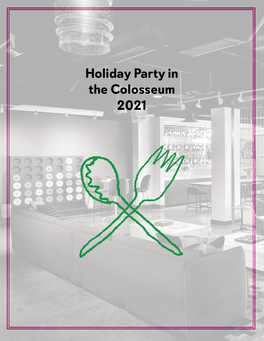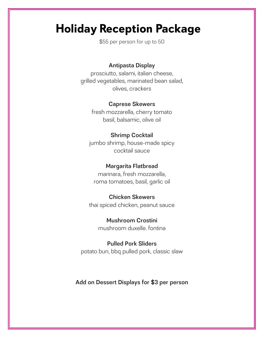# **Holiday Reception Package**

\$55 per person for up to 50

## Antipasta Display

prosciutto, salami, italian cheese, grilled vegetables, marinated bean salad, olives, crackers

#### Caprese Skewers

fresh mozzarella, cherry tomato basil, balsamic, olive oil

### Shrimp Cocktail

jumbo shrimp, house-made spicy cocktail sauce

## Margarita Flatbread

marinara, fresh mozzarella, roma tomatoes, basil, garlic oil

#### Chicken Skewers

thai spiced chicken, peanut sauce

Mushroom Crostini mushroom duxelle. fontina

Pulled Pork Sliders potato bun, bbq pulled pork, classic slaw

## Add on Dessert Displays for \$3 per person